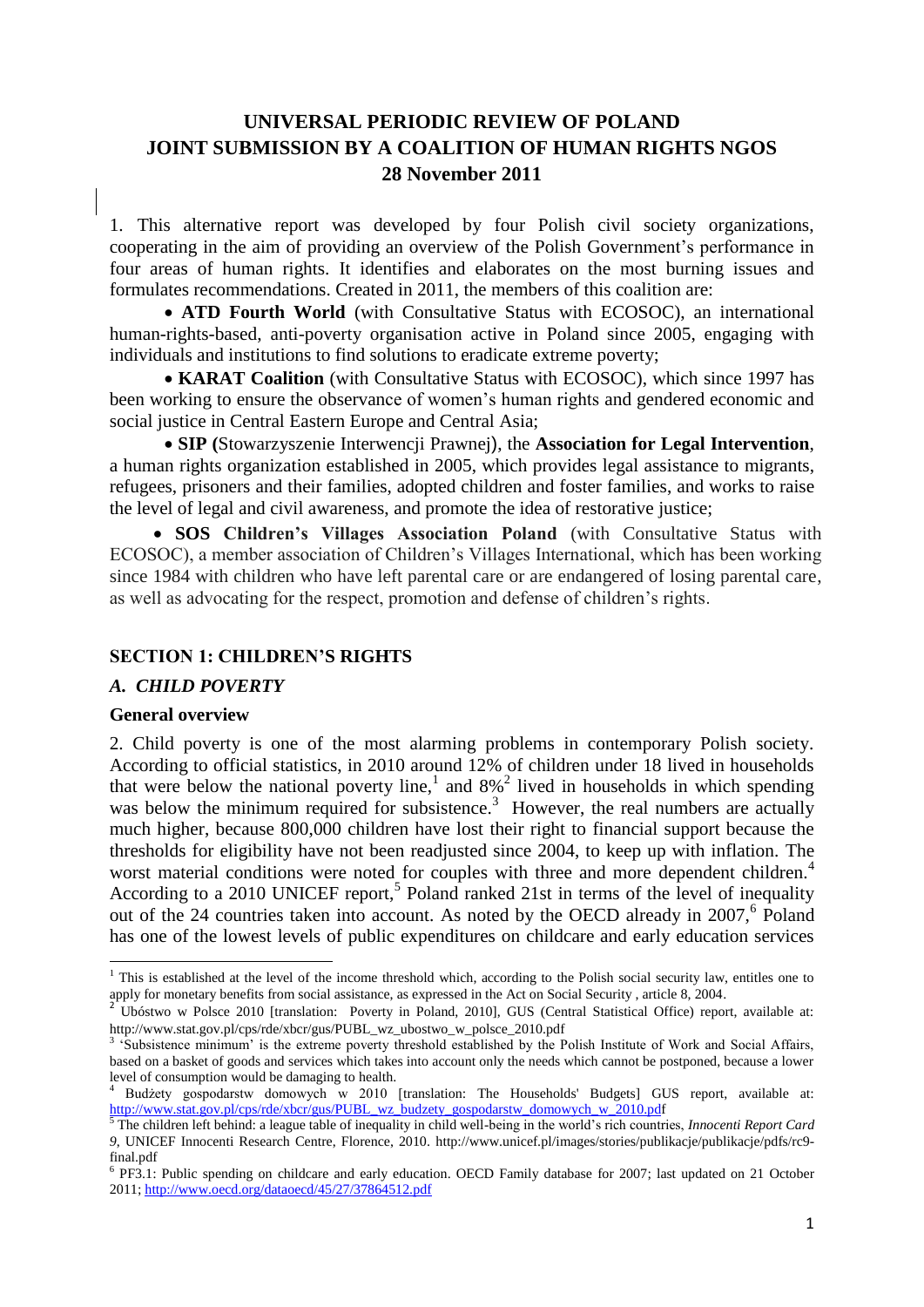# **UNIVERSAL PERIODIC REVIEW OF POLAND JOINT SUBMISSION BY A COALITION OF HUMAN RIGHTS NGOS 28 November 2011**

1. This alternative report was developed by four Polish civil society organizations, cooperating in the aim of providing an overview of the Polish Government"s performance in four areas of human rights. It identifies and elaborates on the most burning issues and formulates recommendations. Created in 2011, the members of this coalition are:

 **ATD Fourth World** (with Consultative Status with ECOSOC), an international human-rights-based, anti-poverty organisation active in Poland since 2005, engaging with individuals and institutions to find solutions to eradicate extreme poverty;

 **KARAT Coalition** (with Consultative Status with ECOSOC), which since 1997 has been working to ensure the observance of women's human rights and gendered economic and social justice in Central Eastern Europe and Central Asia;

 **SIP (**Stowarzyszenie Interwencji Prawnej), the **Association for Legal Intervention**, a human rights organization established in 2005, which provides legal assistance to migrants, refugees, prisoners and their families, adopted children and foster families, and works to raise the level of legal and civil awareness, and promote the idea of restorative justice;

 **SOS Children's Villages Association Poland** (with Consultative Status with ECOSOC), a member association of Children"s Villages International, which has been working since 1984 with children who have left parental care or are endangered of losing parental care, as well as advocating for the respect, promotion and defense of children"s rights.

### **SECTION 1: CHILDREN'S RIGHTS**

#### *A. CHILD POVERTY*

#### **General overview**

2. Child poverty is one of the most alarming problems in contemporary Polish society. According to official statistics, in 2010 around 12% of children under 18 lived in households that were below the national poverty line,<sup>1</sup> and  $8\%$ <sup>2</sup> lived in households in which spending was below the minimum required for subsistence.<sup>3</sup> However, the real numbers are actually much higher, because 800,000 children have lost their right to financial support because the thresholds for eligibility have not been readjusted since 2004, to keep up with inflation. The worst material conditions were noted for couples with three and more dependent children.<sup>4</sup> According to a 2010 UNICEF report,<sup>5</sup> Poland ranked 21st in terms of the level of inequality out of the 24 countries taken into account. As noted by the OECD already in 2007,<sup>6</sup> Poland has one of the lowest levels of public expenditures on childcare and early education services

 $\overline{a}$  $<sup>1</sup>$  This is established at the level of the income threshold which, according to the Polish social security law, entitles one to</sup> apply for monetary benefits from social assistance, as expressed in the Act on Social Security , article 8, 2004.

<sup>2</sup> Ubóstwo w Polsce 2010 [translation: Poverty in Poland, 2010], GUS (Central Statistical Office) report, available at: http://www.stat.gov.pl/cps/rde/xbcr/gus/PUBL\_wz\_ubostwo\_w\_polsce\_2010.pdf

<sup>&</sup>lt;sup>3</sup> 'Subsistence minimum' is the extreme poverty threshold established by the Polish Institute of Work and Social Affairs, based on a basket of goods and services which takes into account only the needs which cannot be postponed, because a lower level of consumption would be damaging to health.

<sup>4</sup> Budżety gospodarstw domowych w 2010 [translation: The Households' Budgets] GUS report, available at: [http://www.stat.gov.pl/cps/rde/xbcr/gus/PUBL\\_wz\\_budzety\\_gospodarstw\\_domowych\\_w\\_2010.pdf](http://www.stat.gov.pl/cps/rde/xbcr/gus/PUBL_wz_budzety_gospodarstw_domowych_w_2010.pdf)

<sup>5</sup> The children left behind: a league table of inequality in child well-being in the world"s rich countries, *Innocenti Report Card 9*, UNICEF Innocenti Research Centre, Florence, 2010. [http://www.unicef.pl/images/stories/publikacje/publikacje/pdfs/rc9](http://www.unicef.pl/images/stories/publikacje/publikacje/pdfs/rc9-final.pdf) [final.pdf](http://www.unicef.pl/images/stories/publikacje/publikacje/pdfs/rc9-final.pdf)

<sup>&</sup>lt;sup>6</sup> PF3.1: Public spending on childcare and early education. OECD Family database for 2007; last updated on 21 October 2011; <http://www.oecd.org/dataoecd/45/27/37864512.pdf>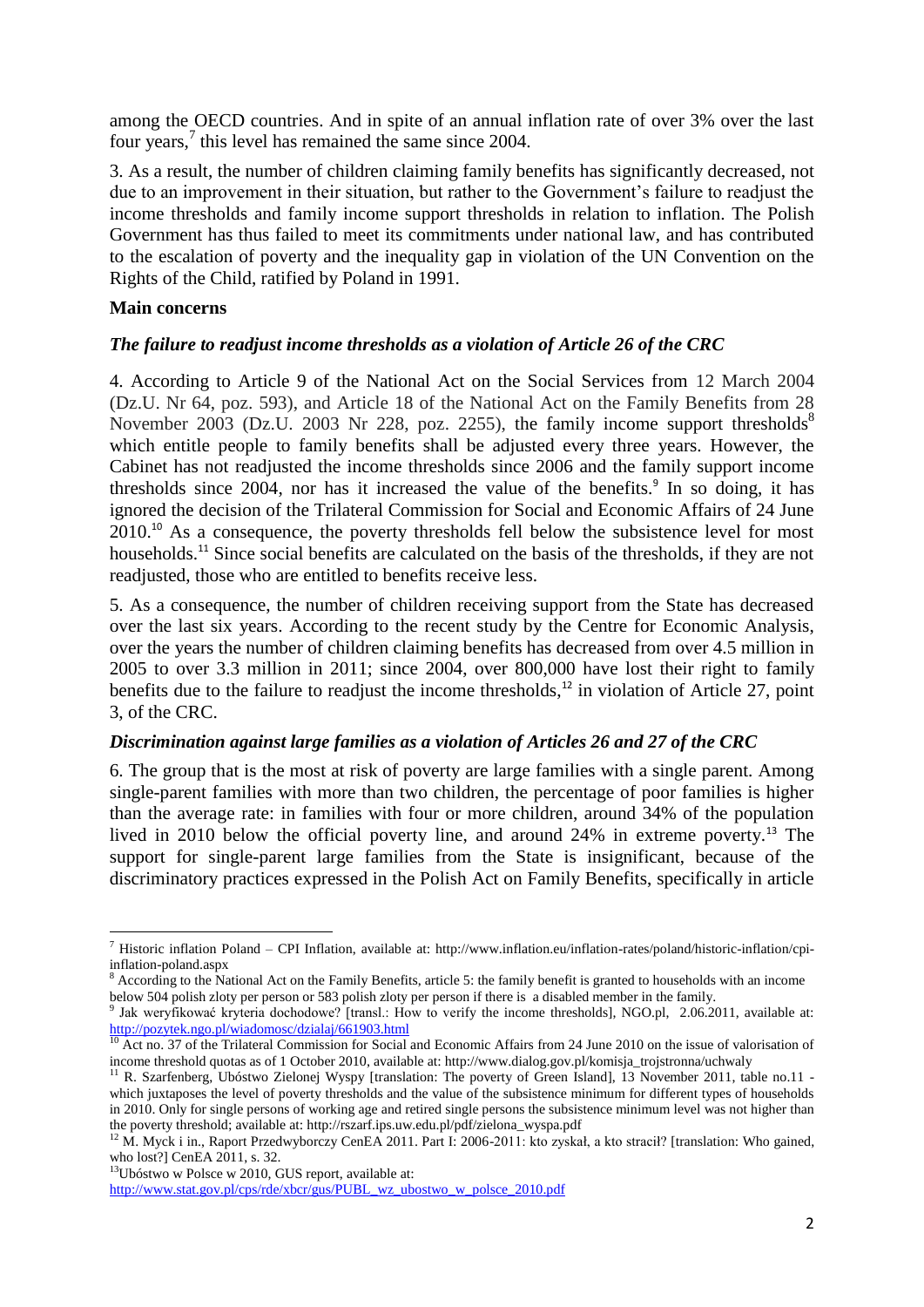among the OECD countries. And in spite of an annual inflation rate of over 3% over the last four years, $\frac{7}{1}$  this level has remained the same since 2004.

3. As a result, the number of children claiming family benefits has significantly decreased, not due to an improvement in their situation, but rather to the Government's failure to readjust the income thresholds and family income support thresholds in relation to inflation. The Polish Government has thus failed to meet its commitments under national law, and has contributed to the escalation of poverty and the inequality gap in violation of the UN Convention on the Rights of the Child, ratified by Poland in 1991.

#### **Main concerns**

### *The failure to readjust income thresholds as a violation of Article 26 of the CRC*

4. According to Article 9 of the National Act on the Social Services from 12 March 2004 (Dz.U. Nr 64, poz. 593), and Article 18 of the National Act on the Family Benefits from 28 November 2003 (Dz.U. 2003 Nr 228, poz. 2255), the family income support thresholds<sup>8</sup> which entitle people to family benefits shall be adjusted every three years. However, the Cabinet has not readjusted the income thresholds since 2006 and the family support income thresholds since 2004, nor has it increased the value of the benefits.<sup>9</sup> In so doing, it has ignored the decision of the Trilateral Commission for Social and Economic Affairs of 24 June 2010.<sup>10</sup> As a consequence, the poverty thresholds fell below the subsistence level for most households.<sup>11</sup> Since social benefits are calculated on the basis of the thresholds, if they are not readjusted, those who are entitled to benefits receive less.

5. As a consequence, the number of children receiving support from the State has decreased over the last six years. According to the recent study by the Centre for Economic Analysis, over the years the number of children claiming benefits has decreased from over 4.5 million in 2005 to over 3.3 million in 2011; since 2004, over 800,000 have lost their right to family benefits due to the failure to readjust the income thresholds, $12$  in violation of Article 27, point 3, of the CRC.

### *Discrimination against large families as a violation of Articles 26 and 27 of the CRC*

6. The group that is the most at risk of poverty are large families with a single parent. Among single-parent families with more than two children, the percentage of poor families is higher than the average rate: in families with four or more children, around 34% of the population lived in 2010 below the official poverty line, and around 24% in extreme poverty.<sup>13</sup> The support for single-parent large families from the State is insignificant, because of the discriminatory practices expressed in the Polish Act on Family Benefits, specifically in article

 $13$ Ubóstwo w Polsce w 2010, GUS report, available at:

 $\overline{\phantom{a}}$ <sup>7</sup> Historic inflation Poland – CPI Inflation, available at: http://www.inflation.eu/inflation-rates/poland/historic-inflation/cpiinflation-poland.aspx

 $8$  According to the National Act on the Family Benefits, article 5: the family benefit is granted to households with an income below 504 polish zloty per person or 583 polish zloty per person if there is a disabled member in the family.

<sup>9</sup> Jak weryfikować kryteria dochodowe? [transl.: How to verify the income thresholds], NGO.pl, 2.06.2011, available at: <http://pozytek.ngo.pl/wiadomosc/dzialaj/661903.html>

<sup>&</sup>lt;sup>10</sup> Act no. 37 of the Trilateral Commission for Social and Economic Affairs from 24 June 2010 on the issue of valorisation of income threshold quotas as of 1 October 2010, available at: http://www.dialog.gov.pl/komisja\_trojstronna/uchwaly

<sup>&</sup>lt;sup>11</sup> R. Szarfenberg, Ubóstwo Zielonej Wyspy [translation: The poverty of Green Island], 13 November 2011, table no.11 which juxtaposes the level of poverty thresholds and the value of the subsistence minimum for different types of households in 2010. Only for single persons of working age and retired single persons the subsistence minimum level was not higher than the poverty threshold; available at: http://rszarf.ips.uw.edu.pl/pdf/zielona\_wyspa.pdf

<sup>&</sup>lt;sup>12</sup> M. Myck i in., Raport Przedwyborczy CenEA 2011. Part I: 2006-2011: kto zyskał, a kto stracił? [translation: Who gained, who lost?] CenEA 2011, s. 32.

[http://www.stat.gov.pl/cps/rde/xbcr/gus/PUBL\\_wz\\_ubostwo\\_w\\_polsce\\_2010.pdf](http://www.stat.gov.pl/cps/rde/xbcr/gus/PUBL_wz_ubostwo_w_polsce_2010.pdf)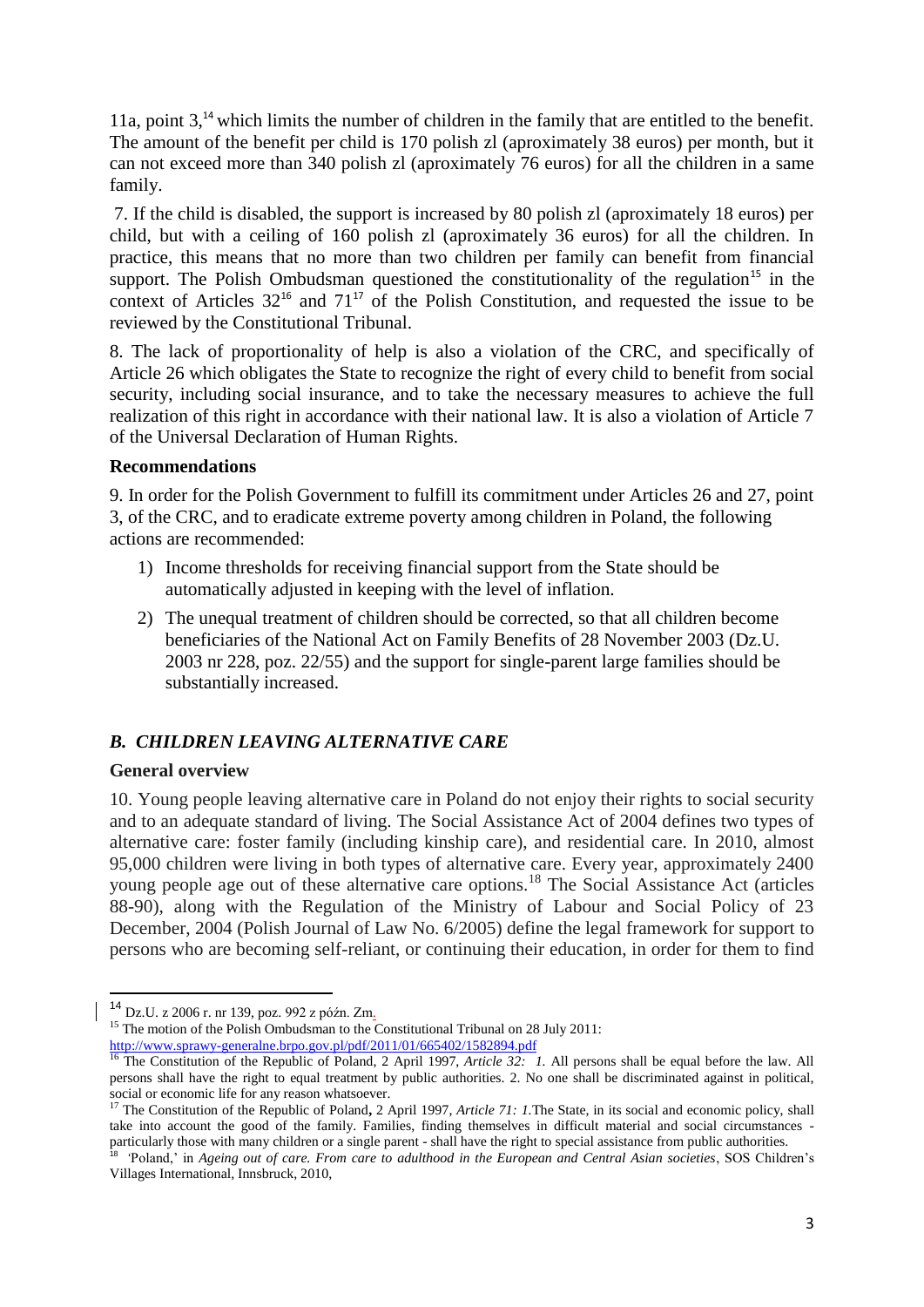11a, point 3,<sup>14</sup> which limits the number of children in the family that are entitled to the benefit. The amount of the benefit per child is 170 polish zl (aproximately 38 euros) per month, but it can not exceed more than 340 polish zl (aproximately 76 euros) for all the children in a same family.

7. If the child is disabled, the support is increased by 80 polish zl (aproximately 18 euros) per child, but with a ceiling of 160 polish zl (aproximately 36 euros) for all the children. In practice, this means that no more than two children per family can benefit from financial support. The Polish Ombudsman questioned the constitutionality of the regulation<sup>15</sup> in the context of Articles  $32^{16}$  and  $71^{17}$  of the Polish Constitution, and requested the issue to be reviewed by the Constitutional Tribunal.

8. The lack of proportionality of help is also a violation of the CRC, and specifically of Article 26 which obligates the State to recognize the right of every child to benefit from social security, including social insurance, and to take the necessary measures to achieve the full realization of this right in accordance with their national law. It is also a violation of Article 7 of the Universal Declaration of Human Rights.

### **Recommendations**

9. In order for the Polish Government to fulfill its commitment under Articles 26 and 27, point 3, of the CRC, and to eradicate extreme poverty among children in Poland, the following actions are recommended:

- 1) Income thresholds for receiving financial support from the State should be automatically adjusted in keeping with the level of inflation.
- 2) The unequal treatment of children should be corrected, so that all children become beneficiaries of the National Act on Family Benefits of 28 November 2003 (Dz.U. 2003 nr 228, poz. 22/55) and the support for single-parent large families should be substantially increased.

# *B. CHILDREN LEAVING ALTERNATIVE CARE*

# **General overview**

 $\overline{\phantom{a}}$ 

10. Young people leaving alternative care in Poland do not enjoy their rights to social security and to an adequate standard of living. The Social Assistance Act of 2004 defines two types of alternative care: foster family (including kinship care), and residential care. In 2010, almost 95,000 children were living in both types of alternative care. Every year, approximately 2400 young people age out of these alternative care options.<sup>18</sup> The Social Assistance Act (articles 88-90), along with the Regulation of the Ministry of Labour and Social Policy of 23 December, 2004 (Polish Journal of Law No. 6/2005) define the legal framework for support to persons who are becoming self-reliant, or continuing their education, in order for them to find

<sup>14</sup> Dz.U. z 2006 r. nr 139, poz. 992 z późn. Zm.

<sup>&</sup>lt;sup>15</sup> The motion of the Polish Ombudsman to the Constitutional Tribunal on 28 July 2011: <http://www.sprawy-generalne.brpo.gov.pl/pdf/2011/01/665402/1582894.pdf>

<sup>&</sup>lt;sup>16</sup> The Constitution of the Republic of Poland, 2 April 1997, *Article 32: 1*. All persons shall be equal before the law. All persons shall have the right to equal treatment by public authorities. 2. No one shall be discriminated against in political, social or economic life for any reason whatsoever.

<sup>17</sup> The Constitution of the Republic of Poland**,** 2 April 1997, *Article 71: 1.*The State, in its social and economic policy, shall take into account the good of the family. Families, finding themselves in difficult material and social circumstances particularly those with many children or a single parent - shall have the right to special assistance from public authorities.<br><sup>18</sup> 'Poland,' in Ageing out of care. From care to adulthood in the European and Central Asian

Villages International, Innsbruck, 2010,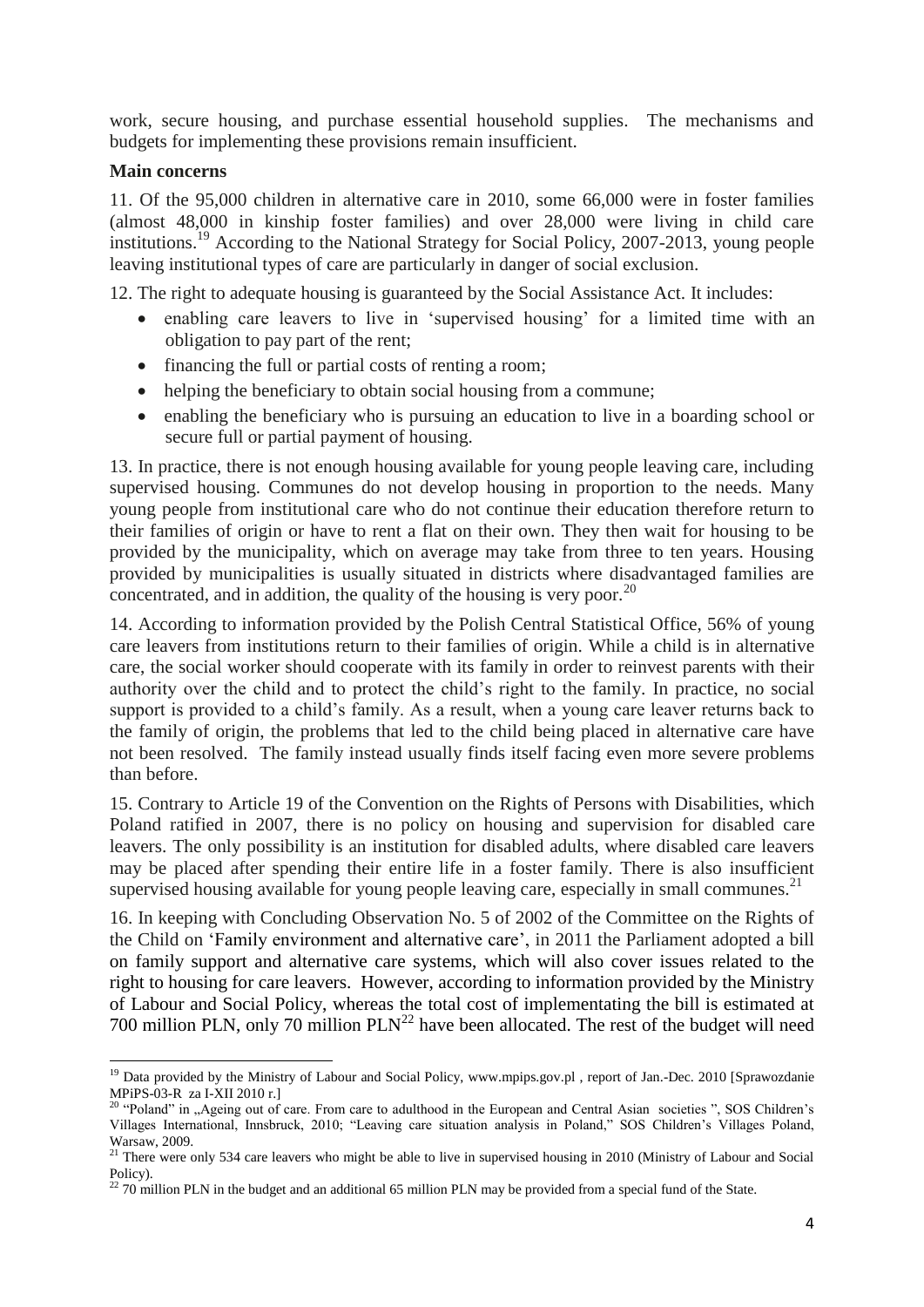work, secure housing, and purchase essential household supplies. The mechanisms and budgets for implementing these provisions remain insufficient.

### **Main concerns**

11. Of the 95,000 children in alternative care in 2010, some 66,000 were in foster families (almost 48,000 in kinship foster families) and over 28,000 were living in child care institutions.<sup>19</sup> According to the National Strategy for Social Policy, 2007-2013, young people leaving institutional types of care are particularly in danger of social exclusion.

12. The right to adequate housing is guaranteed by the Social Assistance Act. It includes:

- enabling care leavers to live in 'supervised housing' for a limited time with an obligation to pay part of the rent;
- financing the full or partial costs of renting a room;
- helping the beneficiary to obtain social housing from a commune;
- enabling the beneficiary who is pursuing an education to live in a boarding school or secure full or partial payment of housing.

13. In practice, there is not enough housing available for young people leaving care, including supervised housing. Communes do not develop housing in proportion to the needs. Many young people from institutional care who do not continue their education therefore return to their families of origin or have to rent a flat on their own. They then wait for housing to be provided by the municipality, which on average may take from three to ten years. Housing provided by municipalities is usually situated in districts where disadvantaged families are concentrated, and in addition, the quality of the housing is very poor.<sup>20</sup>

14. According to information provided by the Polish Central Statistical Office, 56% of young care leavers from institutions return to their families of origin. While a child is in alternative care, the social worker should cooperate with its family in order to reinvest parents with their authority over the child and to protect the child"s right to the family. In practice, no social support is provided to a child"s family. As a result, when a young care leaver returns back to the family of origin, the problems that led to the child being placed in alternative care have not been resolved. The family instead usually finds itself facing even more severe problems than before.

15. Contrary to Article 19 of the Convention on the Rights of Persons with Disabilities, which Poland ratified in 2007, there is no policy on housing and supervision for disabled care leavers. The only possibility is an institution for disabled adults, where disabled care leavers may be placed after spending their entire life in a foster family. There is also insufficient supervised housing available for young people leaving care, especially in small communes.<sup>21</sup>

16. In keeping with Concluding Observation No. 5 of 2002 of the Committee on the Rights of the Child on "Family environment and alternative care", in 2011 the Parliament adopted a bill on family support and alternative care systems, which will also cover issues related to the right to housing for care leavers. However, according to information provided by the Ministry of Labour and Social Policy, whereas the total cost of implementating the bill is estimated at 700 million PLN, only 70 million  $PLN<sup>22</sup>$  have been allocated. The rest of the budget will need

 $\overline{\phantom{a}}$ <sup>19</sup> Data provided by the Ministry of Labour and Social Policy, www.mpips.gov.pl, report of Jan.-Dec. 2010 [Sprawozdanie MPiPS-03-R za I-XII 2010 r.]

<sup>&</sup>lt;sup>20</sup> "Poland" in "Ageing out of care. From care to adulthood in the European and Central Asian societies ", SOS Children's Villages International, Innsbruck, 2010; "Leaving care situation analysis in Poland," SOS Children"s Villages Poland, Warsaw, 2009.

<sup>&</sup>lt;sup>21</sup> There were only 534 care leavers who might be able to live in supervised housing in 2010 (Ministry of Labour and Social Policy).

<sup>&</sup>lt;sup>22</sup> 70 million PLN in the budget and an additional 65 million PLN may be provided from a special fund of the State.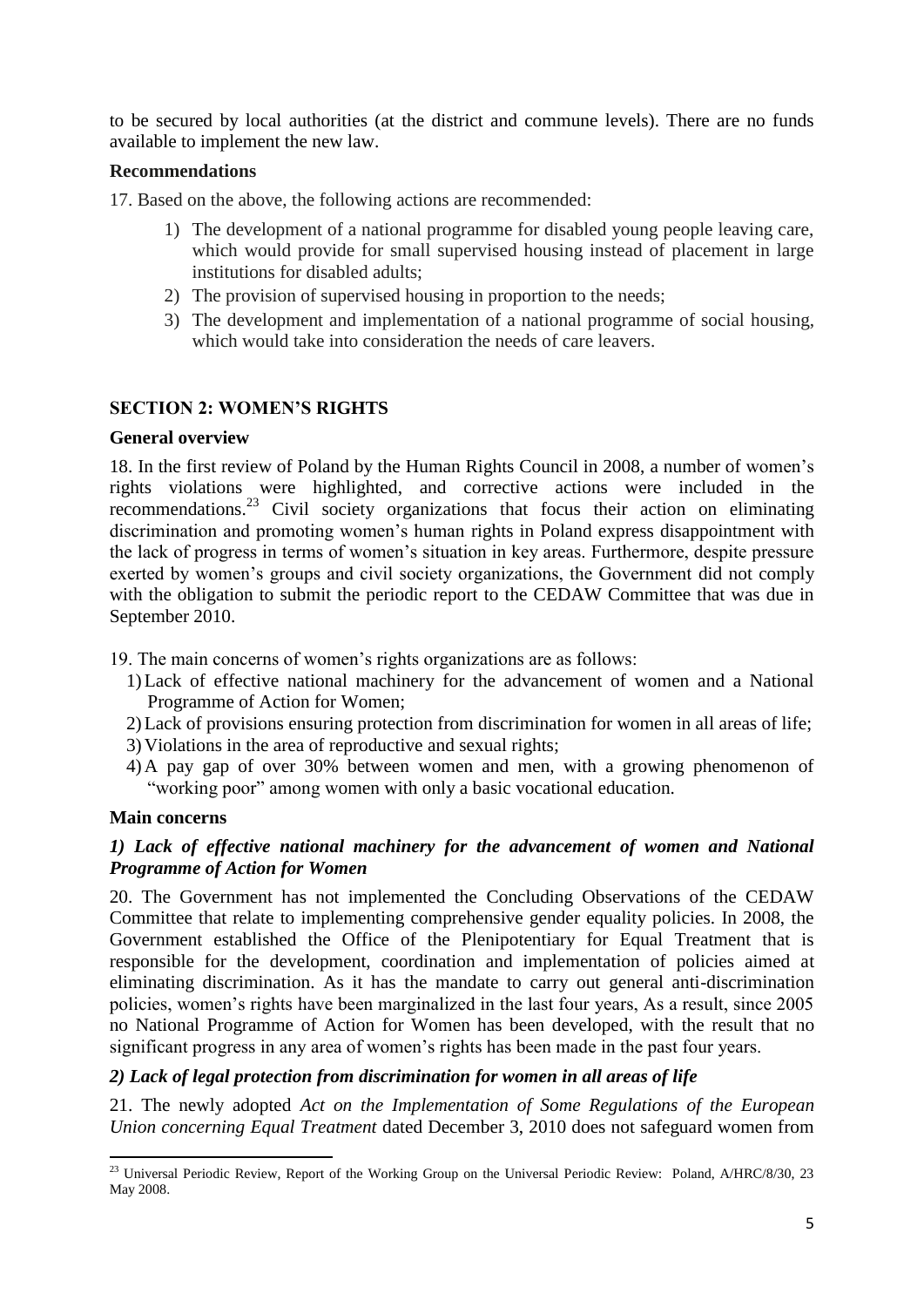to be secured by local authorities (at the district and commune levels). There are no funds available to implement the new law.

# **Recommendations**

17. Based on the above, the following actions are recommended:

- 1) The development of a national programme for disabled young people leaving care, which would provide for small supervised housing instead of placement in large institutions for disabled adults;
- 2) The provision of supervised housing in proportion to the needs;
- 3) The development and implementation of a national programme of social housing, which would take into consideration the needs of care leavers.

# **SECTION 2: WOMEN'S RIGHTS**

#### **General overview**

18. In the first review of Poland by the Human Rights Council in 2008, a number of women"s rights violations were highlighted, and corrective actions were included in the recommendations. <sup>23</sup> Civil society organizations that focus their action on eliminating discrimination and promoting women"s human rights in Poland express disappointment with the lack of progress in terms of women"s situation in key areas. Furthermore, despite pressure exerted by women"s groups and civil society organizations, the Government did not comply with the obligation to submit the periodic report to the CEDAW Committee that was due in September 2010.

19. The main concerns of women"s rights organizations are as follows:

- 1)Lack of effective national machinery for the advancement of women and a National Programme of Action for Women;
- 2)Lack of provisions ensuring protection from discrimination for women in all areas of life;
- 3) Violations in the area of reproductive and sexual rights;
- 4) A pay gap of over 30% between women and men, with a growing phenomenon of "working poor" among women with only a basic vocational education.

#### **Main concerns**

# *1) Lack of effective national machinery for the advancement of women and National Programme of Action for Women*

20. The Government has not implemented the Concluding Observations of the CEDAW Committee that relate to implementing comprehensive gender equality policies. In 2008, the Government established the Office of the Plenipotentiary for Equal Treatment that is responsible for the development, coordination and implementation of policies aimed at eliminating discrimination. As it has the mandate to carry out general anti-discrimination policies, women"s rights have been marginalized in the last four years, As a result, since 2005 no National Programme of Action for Women has been developed, with the result that no significant progress in any area of women's rights has been made in the past four years.

# *2) Lack of legal protection from discrimination for women in all areas of life*

21. The newly adopted *Act on the Implementation of Some Regulations of the European Union concerning Equal Treatment* dated December 3, 2010 does not safeguard women from

 $\overline{a}$ <sup>23</sup> Universal Periodic Review, Report of the Working Group on the Universal Periodic Review: Poland, A/HRC/8/30, 23 May 2008.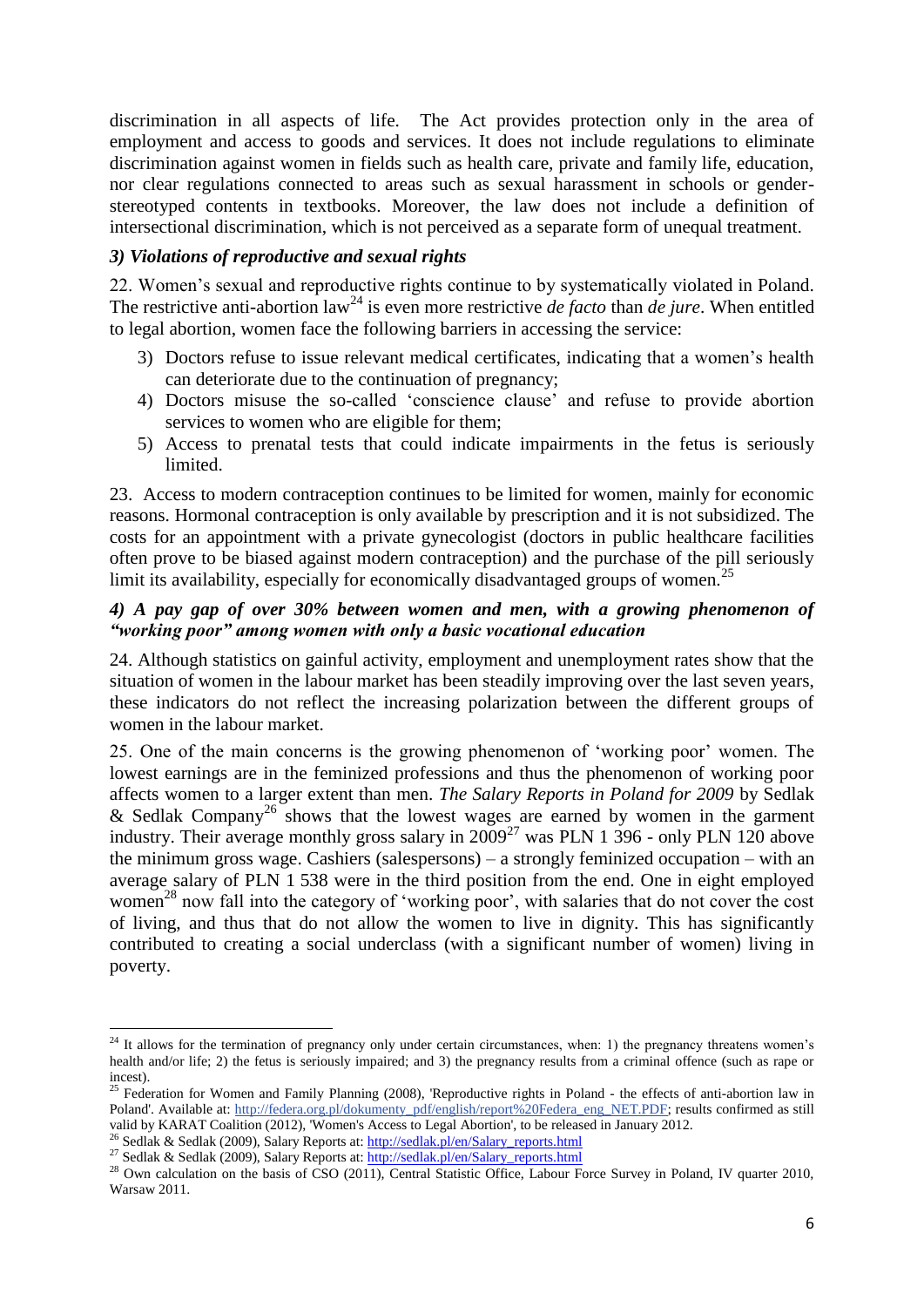discrimination in all aspects of life. The Act provides protection only in the area of employment and access to goods and services. It does not include regulations to eliminate discrimination against women in fields such as health care, private and family life, education, nor clear regulations connected to areas such as sexual harassment in schools or genderstereotyped contents in textbooks. Moreover, the law does not include a definition of intersectional discrimination, which is not perceived as a separate form of unequal treatment.

### *3) Violations of reproductive and sexual rights*

22. Women"s sexual and reproductive rights continue to by systematically violated in Poland. The restrictive anti-abortion law<sup>24</sup> is even more restrictive *de facto* than *de jure*. When entitled to legal abortion, women face the following barriers in accessing the service:

- 3) Doctors refuse to issue relevant medical certificates, indicating that a women"s health can deteriorate due to the continuation of pregnancy;
- 4) Doctors misuse the so-called "conscience clause" and refuse to provide abortion services to women who are eligible for them;
- 5) Access to prenatal tests that could indicate impairments in the fetus is seriously limited.

23. Access to modern contraception continues to be limited for women, mainly for economic reasons. Hormonal contraception is only available by prescription and it is not subsidized. The costs for an appointment with a private gynecologist (doctors in public healthcare facilities often prove to be biased against modern contraception) and the purchase of the pill seriously limit its availability, especially for economically disadvantaged groups of women.<sup>25</sup>

### *4) A pay gap of over 30% between women and men, with a growing phenomenon of "working poor" among women with only a basic vocational education*

24. Although statistics on gainful activity, employment and unemployment rates show that the situation of women in the labour market has been steadily improving over the last seven years, these indicators do not reflect the increasing polarization between the different groups of women in the labour market.

25. One of the main concerns is the growing phenomenon of "working poor" women. The lowest earnings are in the feminized professions and thus the phenomenon of working poor affects women to a larger extent than men. *The Salary Reports in Poland for 2009* by Sedlak & Sedlak Company<sup>26</sup> shows that the lowest wages are earned by women in the garment industry. Their average monthly gross salary in  $2009^{27}$  was PLN 1 396 - only PLN 120 above the minimum gross wage. Cashiers (salespersons) – a strongly feminized occupation – with an average salary of PLN 1 538 were in the third position from the end. One in eight employed women<sup>28</sup> now fall into the category of 'working poor', with salaries that do not cover the cost of living, and thus that do not allow the women to live in dignity. This has significantly contributed to creating a social underclass (with a significant number of women) living in poverty.

l

 $2<sup>4</sup>$  It allows for the termination of pregnancy only under certain circumstances, when: 1) the pregnancy threatens women's health and/or life; 2) the fetus is seriously impaired; and 3) the pregnancy results from a criminal offence (such as rape or incest).

 $25$  Federation for Women and Family Planning (2008), 'Reproductive rights in Poland - the effects of anti-abortion law in Poland'. Available at: [http://federa.org.pl/dokumenty\\_pdf/english/report%20Federa\\_eng\\_NET.PDF;](http://federa.org.pl/dokumenty_pdf/english/report%20Federa_eng_NET.PDF) results confirmed as still valid by KARAT Coalition (2012), 'Women's Access to Legal Abortion', to be released in January 2012.

<sup>&</sup>lt;sup>26</sup> Sedlak & Sedlak (2009), Salary Reports at: [http://sedlak.pl/en/Salary\\_reports.html](http://sedlak.pl/en/Salary_reports.html)

<sup>&</sup>lt;sup>27</sup> Sedlak & Sedlak (2009), Salary Reports at: [http://sedlak.pl/en/Salary\\_reports.html](http://sedlak.pl/en/Salary_reports.html)

<sup>&</sup>lt;sup>28</sup> Own calculation on the basis of CSO (2011), Central Statistic Office, Labour Force Survey in Poland, IV quarter 2010, Warsaw 2011.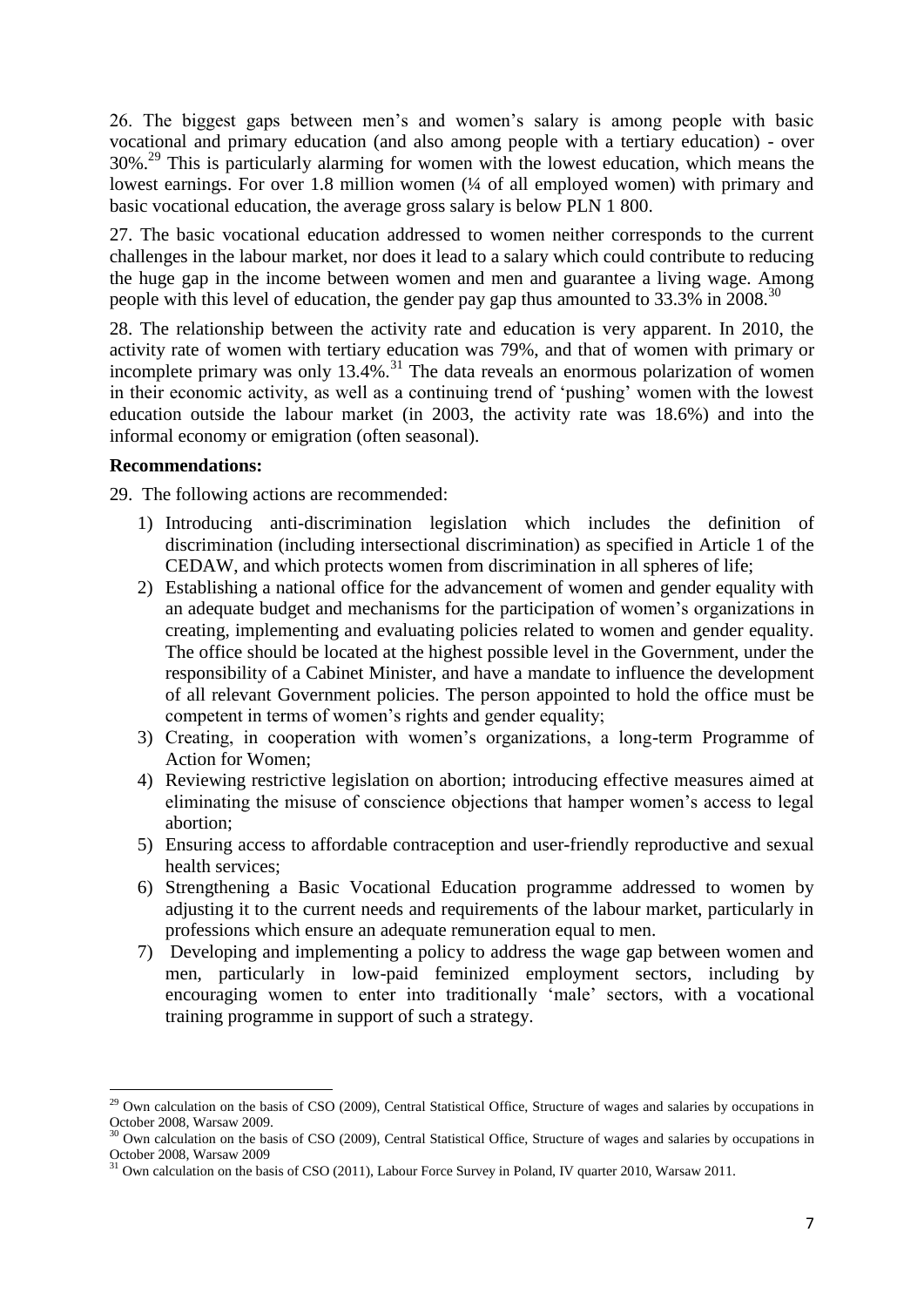26. The biggest gaps between men"s and women"s salary is among people with basic vocational and primary education (and also among people with a tertiary education) - over 30%.<sup>29</sup> This is particularly alarming for women with the lowest education, which means the lowest earnings. For over 1.8 million women ( $\frac{1}{4}$  of all employed women) with primary and basic vocational education, the average gross salary is below PLN 1 800.

27. The basic vocational education addressed to women neither corresponds to the current challenges in the labour market, nor does it lead to a salary which could contribute to reducing the huge gap in the income between women and men and guarantee a living wage. Among people with this level of education, the gender pay gap thus amounted to  $33.3\%$  in  $2008$ .<sup>30</sup>

28. The relationship between the activity rate and education is very apparent. In 2010, the activity rate of women with tertiary education was 79%, and that of women with primary or incomplete primary was only  $13.4\%$ .<sup>31</sup> The data reveals an enormous polarization of women in their economic activity, as well as a continuing trend of "pushing" women with the lowest education outside the labour market (in 2003, the activity rate was 18.6%) and into the informal economy or emigration (often seasonal).

### **Recommendations:**

29. The following actions are recommended:

- 1) Introducing anti-discrimination legislation which includes the definition of discrimination (including intersectional discrimination) as specified in Article 1 of the CEDAW, and which protects women from discrimination in all spheres of life;
- 2) Establishing a national office for the advancement of women and gender equality with an adequate budget and mechanisms for the participation of women"s organizations in creating, implementing and evaluating policies related to women and gender equality. The office should be located at the highest possible level in the Government, under the responsibility of a Cabinet Minister, and have a mandate to influence the development of all relevant Government policies. The person appointed to hold the office must be competent in terms of women"s rights and gender equality;
- 3) Creating, in cooperation with women"s organizations, a long-term Programme of Action for Women;
- 4) Reviewing restrictive legislation on abortion; introducing effective measures aimed at eliminating the misuse of conscience objections that hamper women"s access to legal abortion;
- 5) Ensuring access to affordable contraception and user-friendly reproductive and sexual health services;
- 6) Strengthening a Basic Vocational Education programme addressed to women by adjusting it to the current needs and requirements of the labour market, particularly in professions which ensure an adequate remuneration equal to men.
- 7) Developing and implementing a policy to address the wage gap between women and men, particularly in low-paid feminized employment sectors, including by encouraging women to enter into traditionally "male" sectors, with a vocational training programme in support of such a strategy.

 $\overline{\phantom{a}}$  $29$  Own calculation on the basis of CSO (2009), Central Statistical Office, Structure of wages and salaries by occupations in October 2008, Warsaw 2009.

 $30$  Own calculation on the basis of CSO (2009), Central Statistical Office, Structure of wages and salaries by occupations in October 2008, Warsaw 2009

<sup>&</sup>lt;sup>31</sup> Own calculation on the basis of CSO (2011), Labour Force Survey in Poland, IV quarter 2010, Warsaw 2011.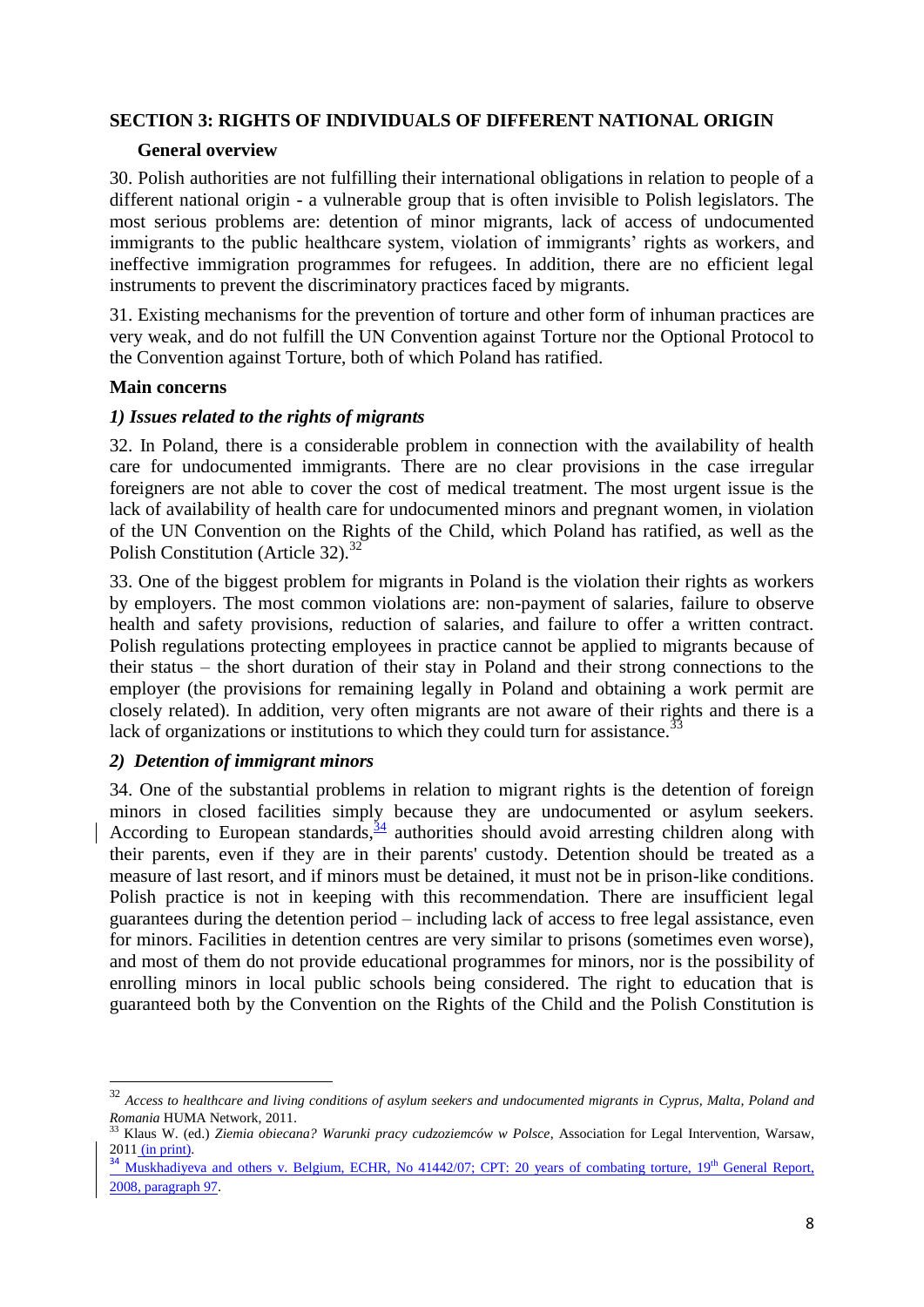### **SECTION 3: RIGHTS OF INDIVIDUALS OF DIFFERENT NATIONAL ORIGIN**

#### **General overview**

30. Polish authorities are not fulfilling their international obligations in relation to people of a different national origin - a vulnerable group that is often invisible to Polish legislators. The most serious problems are: detention of minor migrants, lack of access of undocumented immigrants to the public healthcare system, violation of immigrants' rights as workers, and ineffective immigration programmes for refugees. In addition, there are no efficient legal instruments to prevent the discriminatory practices faced by migrants.

31. Existing mechanisms for the prevention of torture and other form of inhuman practices are very weak, and do not fulfill the UN Convention against Torture nor the Optional Protocol to the Convention against Torture, both of which Poland has ratified.

### **Main concerns**

### *1) Issues related to the rights of migrants*

32. In Poland, there is a considerable problem in connection with the availability of health care for undocumented immigrants. There are no clear provisions in the case irregular foreigners are not able to cover the cost of medical treatment. The most urgent issue is the lack of availability of health care for undocumented minors and pregnant women, in violation of the UN Convention on the Rights of the Child, which Poland has ratified, as well as the Polish Constitution (Article 32). $^{32}$ 

33. One of the biggest problem for migrants in Poland is the violation their rights as workers by employers. The most common violations are: non-payment of salaries, failure to observe health and safety provisions, reduction of salaries, and failure to offer a written contract. Polish regulations protecting employees in practice cannot be applied to migrants because of their status – the short duration of their stay in Poland and their strong connections to the employer (the provisions for remaining legally in Poland and obtaining a work permit are closely related). In addition, very often migrants are not aware of their rights and there is a lack of organizations or institutions to which they could turn for assistance.<sup>33</sup>

# *2) Detention of immigrant minors*

 $\overline{\phantom{a}}$ 

34. One of the substantial problems in relation to migrant rights is the detention of foreign minors in closed facilities simply because they are undocumented or asylum seekers. According to European standards,  $\frac{34}{3}$  authorities should avoid arresting children along with their parents, even if they are in their parents' custody. Detention should be treated as a measure of last resort, and if minors must be detained, it must not be in prison-like conditions. Polish practice is not in keeping with this recommendation. There are insufficient legal guarantees during the detention period – including lack of access to free legal assistance, even for minors. Facilities in detention centres are very similar to prisons (sometimes even worse), and most of them do not provide educational programmes for minors, nor is the possibility of enrolling minors in local public schools being considered. The right to education that is guaranteed both by the Convention on the Rights of the Child and the Polish Constitution is

<sup>32</sup> *Access to healthcare and living conditions of asylum seekers and undocumented migrants in Cyprus, Malta, Poland and Romania* HUMA Network, 2011.

<sup>33</sup> Klaus W. (ed.) *Ziemia obiecana? Warunki pracy cudzoziemców w Polsce*, Association for Legal Intervention, Warsaw, 2011 (in print).

<sup>&</sup>lt;sup>34</sup> Muskhadiyeva and others v. Belgium, ECHR, No 41442/07; CPT: 20 years of combating torture, 19<sup>th</sup> General Report, 2008, paragraph 97.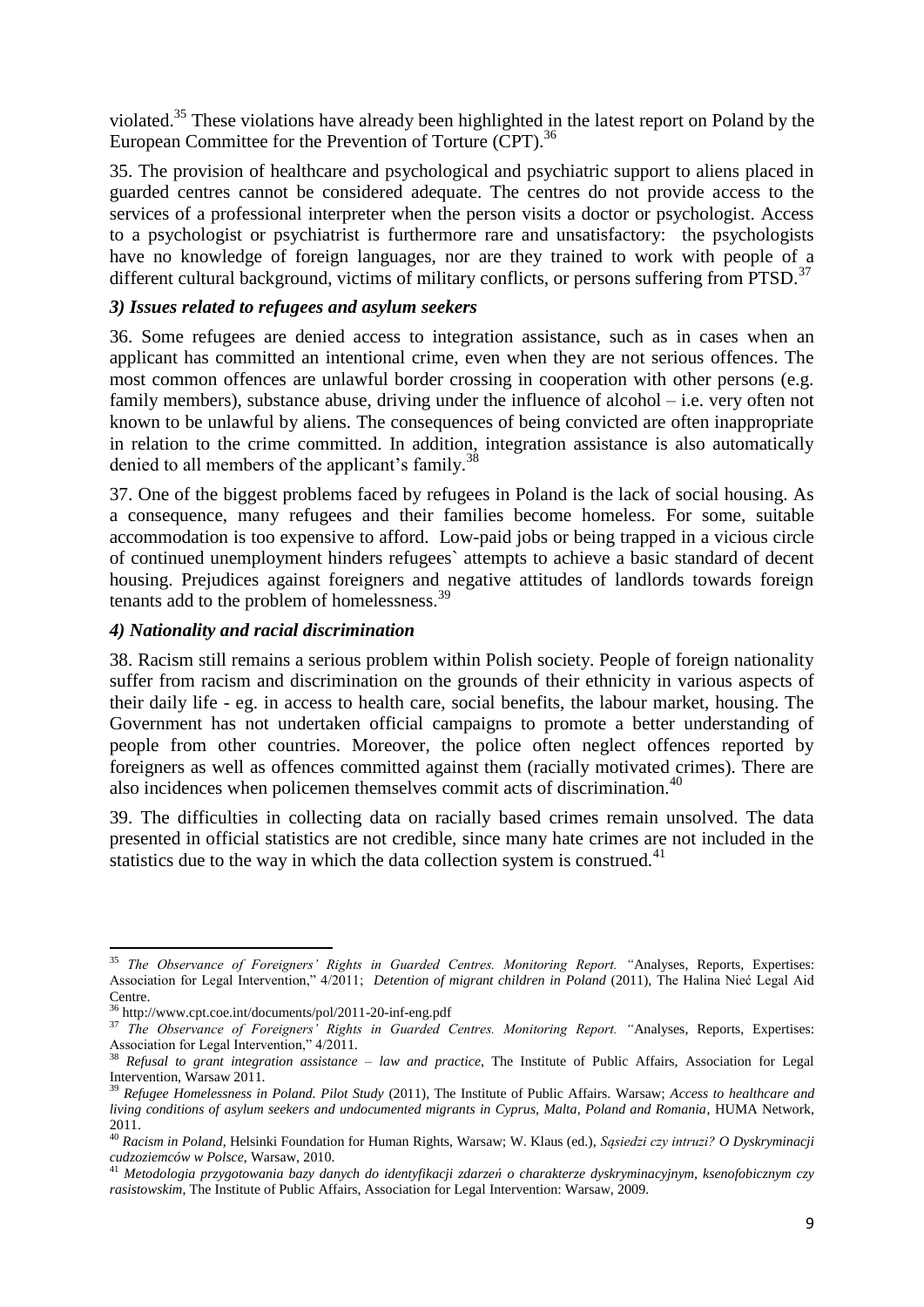violated.<sup>35</sup> These violations have already been highlighted in the latest report on Poland by the European Committee for the Prevention of Torture (CPT).<sup>36</sup>

35. The provision of healthcare and psychological and psychiatric support to aliens placed in guarded centres cannot be considered adequate. The centres do not provide access to the services of a professional interpreter when the person visits a doctor or psychologist. Access to a psychologist or psychiatrist is furthermore rare and unsatisfactory: the psychologists have no knowledge of foreign languages, nor are they trained to work with people of a different cultural background, victims of military conflicts, or persons suffering from PTSD.<sup>37</sup>

#### *3) Issues related to refugees and asylum seekers*

36. Some refugees are denied access to integration assistance, such as in cases when an applicant has committed an intentional crime, even when they are not serious offences. The most common offences are unlawful border crossing in cooperation with other persons (e.g. family members), substance abuse, driving under the influence of alcohol – i.e. very often not known to be unlawful by aliens. The consequences of being convicted are often inappropriate in relation to the crime committed. In addition, integration assistance is also automatically denied to all members of the applicant's family.<sup>38</sup>

37. One of the biggest problems faced by refugees in Poland is the lack of social housing. As a consequence, many refugees and their families become homeless. For some, suitable accommodation is too expensive to afford. Low-paid jobs or being trapped in a vicious circle of continued unemployment hinders refugees` attempts to achieve a basic standard of decent housing. Prejudices against foreigners and negative attitudes of landlords towards foreign tenants add to the problem of homelessness.<sup>39</sup>

### *4) Nationality and racial discrimination*

38. Racism still remains a serious problem within Polish society. People of foreign nationality suffer from racism and discrimination on the grounds of their ethnicity in various aspects of their daily life - eg. in access to health care, social benefits, the labour market, housing. The Government has not undertaken official campaigns to promote a better understanding of people from other countries. Moreover, the police often neglect offences reported by foreigners as well as offences committed against them (racially motivated crimes). There are also incidences when policemen themselves commit acts of discrimination.<sup>40</sup>

39. The difficulties in collecting data on racially based crimes remain unsolved. The data presented in official statistics are not credible, since many hate crimes are not included in the statistics due to the way in which the data collection system is construed.<sup>41</sup>

 $\overline{\phantom{a}}$ 

<sup>35</sup> *The Observance of Foreigners' Rights in Guarded Centres. Monitoring Report. "*Analyses, Reports, Expertises: Association for Legal Intervention," 4/2011; *Detention of migrant children in Poland* (2011), The Halina Nieć Legal Aid Centre.

<sup>36</sup> http://www.cpt.coe.int/documents/pol/2011-20-inf-eng.pdf

<sup>&</sup>lt;sup>37</sup> The Observance of Foreigners<sup>3</sup> Rights in Guarded Centres. Monitoring Report. "Analyses, Reports, Expertises: Association for Legal Intervention," 4/2011.

<sup>38</sup> *Refusal to grant integration assistance – law and practice*, The Institute of Public Affairs, Association for Legal Intervention, Warsaw 2011.

<sup>39</sup> *Refugee Homelessness in Poland. Pilot Study* (2011), The Institute of Public Affairs. Warsaw; *Access to healthcare and living conditions of asylum seekers and undocumented migrants in Cyprus, Malta, Poland and Romania*, HUMA Network, 2011.

<sup>40</sup> *Racism in Poland*, Helsinki Foundation for Human Rights, Warsaw; W. Klaus (ed.), *Sąsiedzi czy intruzi? O Dyskryminacji cudzoziemców w Polsce*, Warsaw, 2010.

<sup>41</sup> *Metodologia przygotowania bazy danych do identyfikacji zdarzeń o charakterze dyskryminacyjnym, ksenofobicznym czy rasistowskim*, The Institute of Public Affairs, Association for Legal Intervention: Warsaw, 2009.